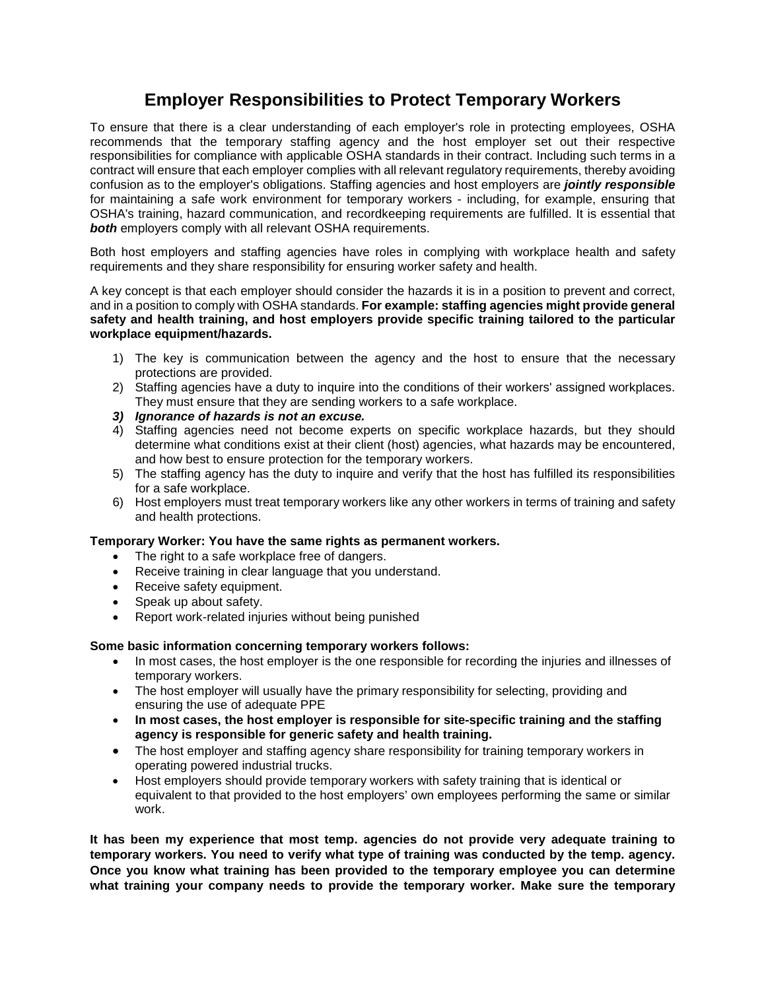## **Employer Responsibilities to Protect Temporary Workers**

To ensure that there is a clear understanding of each employer's role in protecting employees, OSHA recommends that the temporary staffing agency and the host employer set out their respective responsibilities for compliance with applicable OSHA standards in their contract. Including such terms in a contract will ensure that each employer complies with all relevant regulatory requirements, thereby avoiding confusion as to the employer's obligations. Staffing agencies and host employers are *jointly responsible* for maintaining a safe work environment for temporary workers - including, for example, ensuring that OSHA's training, hazard communication, and recordkeeping requirements are fulfilled. It is essential that *both* employers comply with all relevant OSHA requirements.

Both host employers and staffing agencies have roles in complying with workplace health and safety requirements and they share responsibility for ensuring worker safety and health.

A key concept is that each employer should consider the hazards it is in a position to prevent and correct, and in a position to comply with OSHA standards. **For example: staffing agencies might provide general safety and health training, and host employers provide specific training tailored to the particular workplace equipment/hazards.**

- 1) The key is communication between the agency and the host to ensure that the necessary protections are provided.
- 2) Staffing agencies have a duty to inquire into the conditions of their workers' assigned workplaces. They must ensure that they are sending workers to a safe workplace.
- *3) Ignorance of hazards is not an excuse.*
- 4) Staffing agencies need not become experts on specific workplace hazards, but they should determine what conditions exist at their client (host) agencies, what hazards may be encountered, and how best to ensure protection for the temporary workers.
- 5) The staffing agency has the duty to inquire and verify that the host has fulfilled its responsibilities for a safe workplace.
- 6) Host employers must treat temporary workers like any other workers in terms of training and safety and health protections.

## **Temporary Worker: You have the same rights as permanent workers.**

- The right to a safe workplace free of dangers.
- Receive training in clear language that you understand.
- Receive safety equipment.
- Speak up about safety.
- Report work-related injuries without being punished

## **Some basic information concerning temporary workers follows:**

- In most cases, the host employer is the one responsible for recording the injuries and illnesses of temporary workers.
- The host employer will usually have the primary responsibility for selecting, providing and ensuring the use of adequate PPE
- **In most cases, the host employer is responsible for site-specific training and the staffing agency is responsible for generic safety and health training.**
- The host employer and staffing agency share responsibility for training temporary workers in operating powered industrial trucks.
- Host employers should provide temporary workers with safety training that is identical or equivalent to that provided to the host employers' own employees performing the same or similar work.

**It has been my experience that most temp. agencies do not provide very adequate training to temporary workers. You need to verify what type of training was conducted by the temp. agency. Once you know what training has been provided to the temporary employee you can determine what training your company needs to provide the temporary worker. Make sure the temporary**